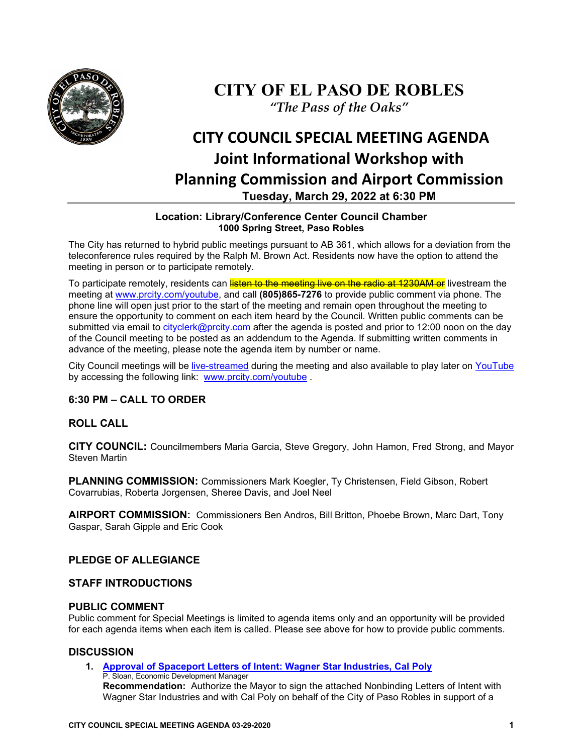

## **CITY OF EL PASO DE ROBLES** *"The Pass of the Oaks"*

# **CITY COUNCIL SPECIAL MEETING AGENDA Joint Informational Workshop with Planning Commission and Airport Commission Tuesday, March 29, 2022 at 6:30 PM**

#### **Location: Library/Conference Center Council Chamber 1000 Spring Street, Paso Robles**

The City has returned to hybrid public meetings pursuant to AB 361, which allows for a deviation from the teleconference rules required by the Ralph M. Brown Act. Residents now have the option to attend the meeting in person or to participate remotely.

To participate remotely, residents can listen to the meeting live on the radio at 1230AM or livestream the meeting at [www.prcity.com/youtube,](http://www.prcity.com/youtube) and call **(805)865-7276** to provide public comment via phone. The phone line will open just prior to the start of the meeting and remain open throughout the meeting to ensure the opportunity to comment on each item heard by the Council. Written public comments can be submitted via email to [cityclerk@prcity.com](mailto:cityclerk@prcity.com) after the agenda is posted and prior to 12:00 noon on the day of the Council meeting to be posted as an addendum to the Agenda. If submitting written comments in advance of the meeting, please note the agenda item by number or name.

City Council meetings will be [live-streamed](https://www.youtube.com/channel/UCxElWtI1YhkPr6KI552RDuw) during the meeting and also available to play later on [YouTube](https://www.youtube.com/channel/UCxElWtI1YhkPr6KI552RDuw) by accessing the following link: [www.prcity.com/youtube](http://www.prcity.com/youtube) .

## **6:30 PM – CALL TO ORDER**

## **ROLL CALL**

**CITY COUNCIL:** Councilmembers Maria Garcia, Steve Gregory, John Hamon, Fred Strong, and Mayor Steven Martin

**PLANNING COMMISSION:** Commissioners Mark Koegler, Ty Christensen, Field Gibson, Robert Covarrubias, Roberta Jorgensen, Sheree Davis, and Joel Neel

**AIRPORT COMMISSION:** Commissioners Ben Andros, Bill Britton, Phoebe Brown, Marc Dart, Tony Gaspar, Sarah Gipple and Eric Cook

## **PLEDGE OF ALLEGIANCE**

#### **STAFF INTRODUCTIONS**

#### **PUBLIC COMMENT**

Public comment for Special Meetings is limited to agenda items only and an opportunity will be provided for each agenda items when each item is called. Please see above for how to provide public comments.

#### **DISCUSSION**

**1. [Approval of Spaceport Letters of Intent: Wagner Star Industries, Cal Poly](https://www.prcity.com/DocumentCenter/View/33381/March-29-2022-City-Council-Special-Agenda-Item-01-PDF)** P. Sloan, Economic Development Manager **Recommendation:** Authorize the Mayor to sign the attached Nonbinding Letters of Intent with Wagner Star Industries and with Cal Poly on behalf of the City of Paso Robles in support of a